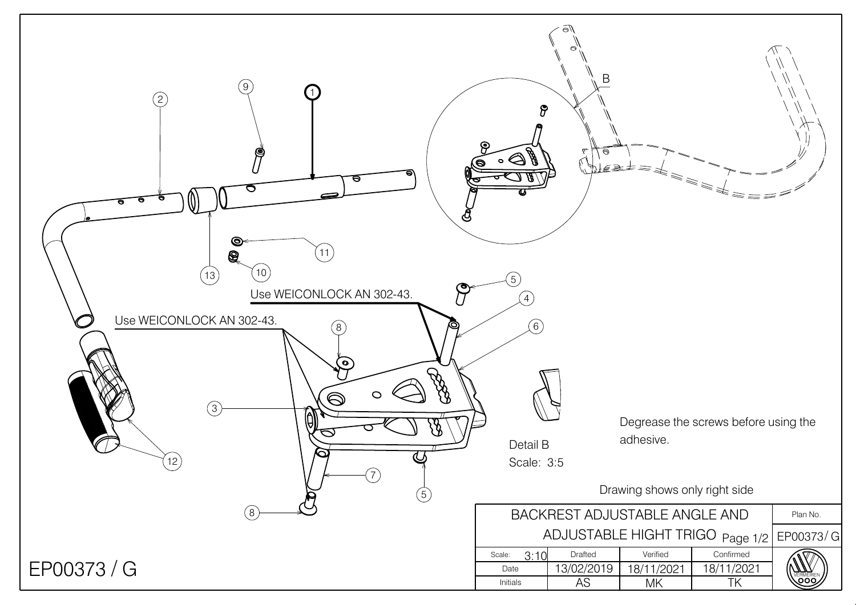